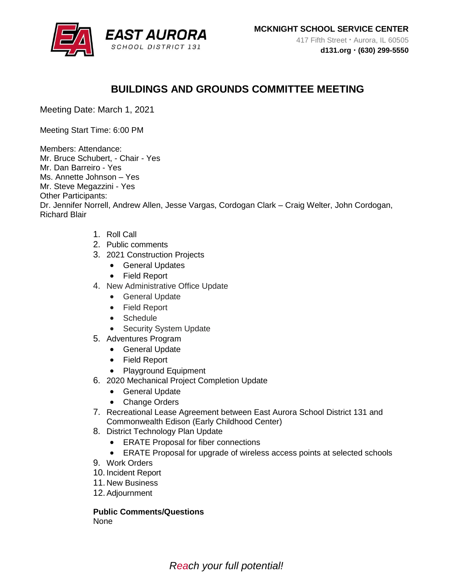

## **BUILDINGS AND GROUNDS COMMITTEE MEETING**

Meeting Date: March 1, 2021

Meeting Start Time: 6:00 PM

Members: Attendance: Mr. Bruce Schubert, - Chair - Yes Mr. Dan Barreiro - Yes Ms. Annette Johnson – Yes Mr. Steve Megazzini - Yes Other Participants: Dr. Jennifer Norrell, Andrew Allen, Jesse Vargas, Cordogan Clark – Craig Welter, John Cordogan, Richard Blair

- 1. Roll Call
- 2. Public comments
- 3. 2021 Construction Projects
	- General Updates
	- Field Report
- 4. New Administrative Office Update
	- **•** General Update
	- Field Report
	- Schedule
	- Security System Update
- 5. Adventures Program
	- General Update
	- Field Report
	- Playground Equipment
- 6. 2020 Mechanical Project Completion Update
	- General Update
	- Change Orders
- 7. Recreational Lease Agreement between East Aurora School District 131 and Commonwealth Edison (Early Childhood Center)
- 8. District Technology Plan Update
	- ERATE Proposal for fiber connections
	- ERATE Proposal for upgrade of wireless access points at selected schools
- 9. Work Orders
- 10. Incident Report
- 11. New Business
- 12.Adjournment

**Public Comments/Questions**  None

*Reach your full potential!*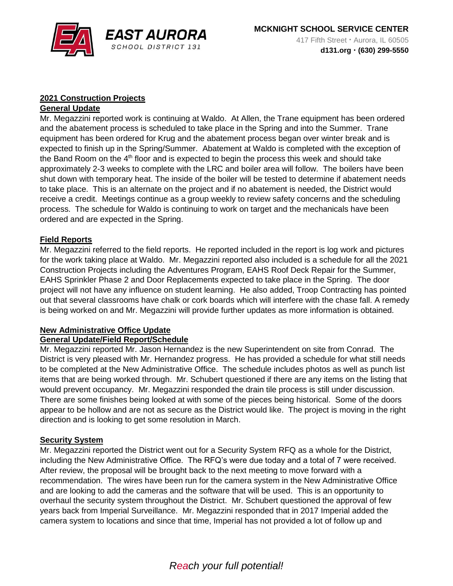

## **2021 Construction Projects**

#### **General Update**

Mr. Megazzini reported work is continuing at Waldo. At Allen, the Trane equipment has been ordered and the abatement process is scheduled to take place in the Spring and into the Summer. Trane equipment has been ordered for Krug and the abatement process began over winter break and is expected to finish up in the Spring/Summer. Abatement at Waldo is completed with the exception of the Band Room on the  $4<sup>th</sup>$  floor and is expected to begin the process this week and should take approximately 2-3 weeks to complete with the LRC and boiler area will follow. The boilers have been shut down with temporary heat. The inside of the boiler will be tested to determine if abatement needs to take place. This is an alternate on the project and if no abatement is needed, the District would receive a credit. Meetings continue as a group weekly to review safety concerns and the scheduling process. The schedule for Waldo is continuing to work on target and the mechanicals have been ordered and are expected in the Spring.

#### **Field Reports**

Mr. Megazzini referred to the field reports. He reported included in the report is log work and pictures for the work taking place at Waldo. Mr. Megazzini reported also included is a schedule for all the 2021 Construction Projects including the Adventures Program, EAHS Roof Deck Repair for the Summer, EAHS Sprinkler Phase 2 and Door Replacements expected to take place in the Spring. The door project will not have any influence on student learning. He also added, Troop Contracting has pointed out that several classrooms have chalk or cork boards which will interfere with the chase fall. A remedy is being worked on and Mr. Megazzini will provide further updates as more information is obtained.

## **New Administrative Office Update**

#### **General Update/Field Report/Schedule**

Mr. Megazzini reported Mr. Jason Hernandez is the new Superintendent on site from Conrad. The District is very pleased with Mr. Hernandez progress. He has provided a schedule for what still needs to be completed at the New Administrative Office. The schedule includes photos as well as punch list items that are being worked through. Mr. Schubert questioned if there are any items on the listing that would prevent occupancy. Mr. Megazzini responded the drain tile process is still under discussion. There are some finishes being looked at with some of the pieces being historical. Some of the doors appear to be hollow and are not as secure as the District would like. The project is moving in the right direction and is looking to get some resolution in March.

#### **Security System**

Mr. Megazzini reported the District went out for a Security System RFQ as a whole for the District, including the New Administrative Office. The RFQ's were due today and a total of 7 were received. After review, the proposal will be brought back to the next meeting to move forward with a recommendation. The wires have been run for the camera system in the New Administrative Office and are looking to add the cameras and the software that will be used. This is an opportunity to overhaul the security system throughout the District. Mr. Schubert questioned the approval of few years back from Imperial Surveillance. Mr. Megazzini responded that in 2017 Imperial added the camera system to locations and since that time, Imperial has not provided a lot of follow up and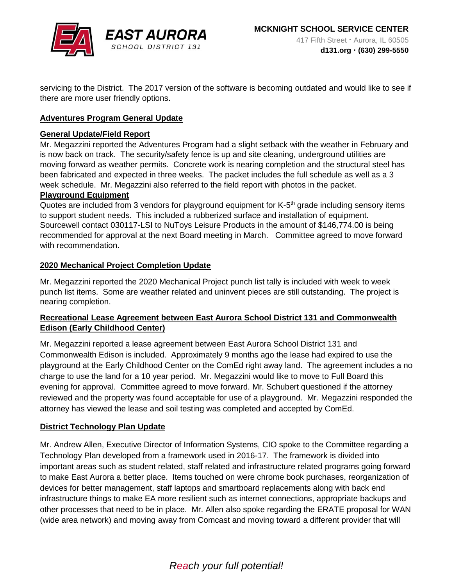

servicing to the District. The 2017 version of the software is becoming outdated and would like to see if there are more user friendly options.

## **Adventures Program General Update**

#### **General Update/Field Report**

Mr. Megazzini reported the Adventures Program had a slight setback with the weather in February and is now back on track. The security/safety fence is up and site cleaning, underground utilities are moving forward as weather permits. Concrete work is nearing completion and the structural steel has been fabricated and expected in three weeks. The packet includes the full schedule as well as a 3 week schedule. Mr. Megazzini also referred to the field report with photos in the packet. **Playground Equipment**

Quotes are included from 3 vendors for playground equipment for K-5<sup>th</sup> grade including sensory items to support student needs. This included a rubberized surface and installation of equipment. Sourcewell contact 030117-LSI to NuToys Leisure Products in the amount of \$146,774.00 is being recommended for approval at the next Board meeting in March. Committee agreed to move forward with recommendation.

## **2020 Mechanical Project Completion Update**

Mr. Megazzini reported the 2020 Mechanical Project punch list tally is included with week to week punch list items. Some are weather related and uninvent pieces are still outstanding. The project is nearing completion.

## **Recreational Lease Agreement between East Aurora School District 131 and Commonwealth Edison (Early Childhood Center)**

Mr. Megazzini reported a lease agreement between East Aurora School District 131 and Commonwealth Edison is included. Approximately 9 months ago the lease had expired to use the playground at the Early Childhood Center on the ComEd right away land. The agreement includes a no charge to use the land for a 10 year period. Mr. Megazzini would like to move to Full Board this evening for approval. Committee agreed to move forward. Mr. Schubert questioned if the attorney reviewed and the property was found acceptable for use of a playground. Mr. Megazzini responded the attorney has viewed the lease and soil testing was completed and accepted by ComEd.

#### **District Technology Plan Update**

Mr. Andrew Allen, Executive Director of Information Systems, CIO spoke to the Committee regarding a Technology Plan developed from a framework used in 2016-17. The framework is divided into important areas such as student related, staff related and infrastructure related programs going forward to make East Aurora a better place. Items touched on were chrome book purchases, reorganization of devices for better management, staff laptops and smartboard replacements along with back end infrastructure things to make EA more resilient such as internet connections, appropriate backups and other processes that need to be in place. Mr. Allen also spoke regarding the ERATE proposal for WAN (wide area network) and moving away from Comcast and moving toward a different provider that will

# *Reach your full potential!*